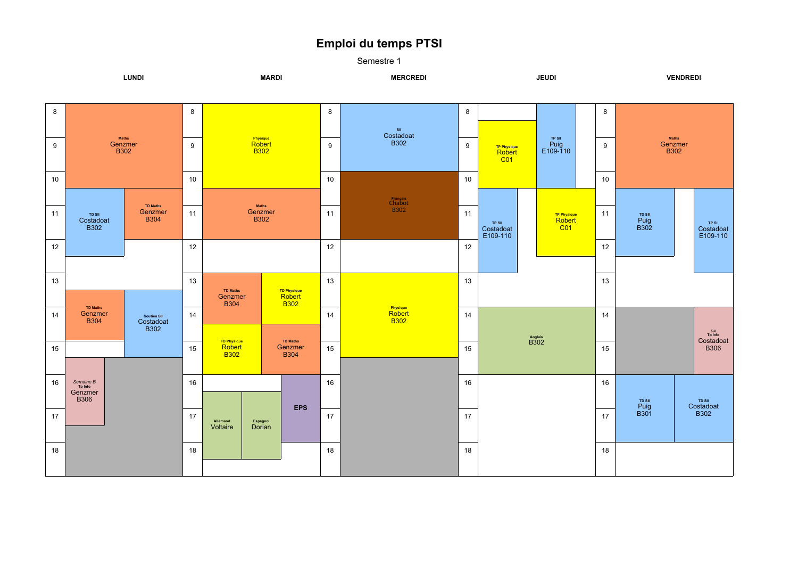## **Emploi du temps PTSI**

Semestre 1